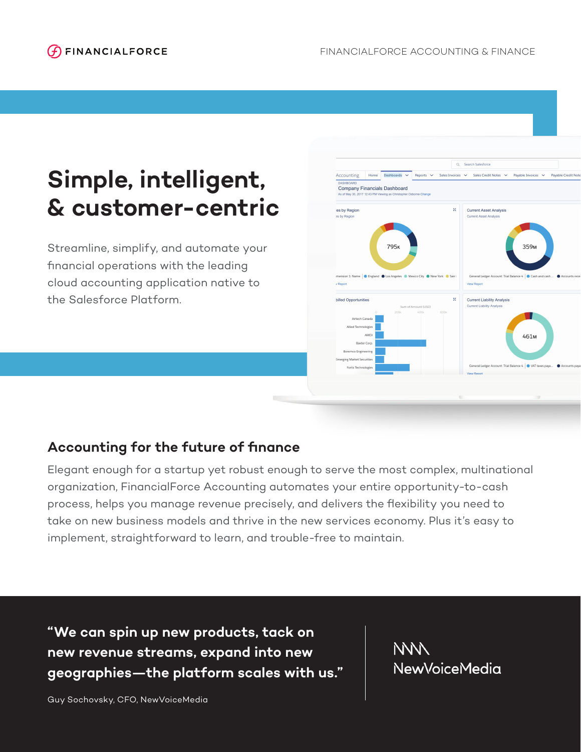# **Simple, intelligent, & customer-centric**

Streamline, simplify, and automate your financial operations with the leading cloud accounting application native to the Salesforce Platform.



# **Accounting for the future of finance**

Elegant enough for a startup yet robust enough to serve the most complex, multinational organization, FinancialForce Accounting automates your entire opportunity-to-cash process, helps you manage revenue precisely, and delivers the flexibility you need to take on new business models and thrive in the new services economy. Plus it's easy to implement, straightforward to learn, and trouble-free to maintain.

**"We can spin up new products, tack on new revenue streams, expand into new geographies—the platform scales with us."**

Guy Sochovsky, CFO, NewVoiceMedia

**NVVV** NewVoiceMedia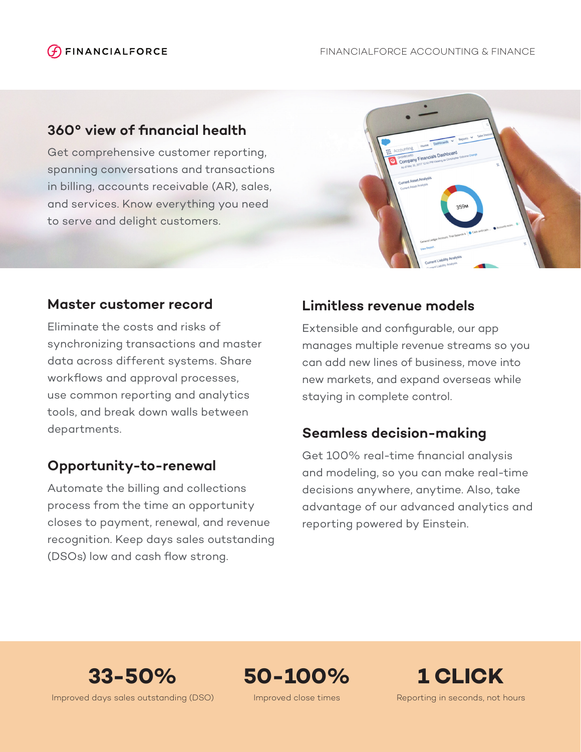# $\bigcirc$  FINANCIALFORCE

# **360° view of financial health**

Get comprehensive customer reporting, spanning conversations and transactions in billing, accounts receivable (AR), sales, and services. Know everything you need to serve and delight customers.



### **Master customer record**

Eliminate the costs and risks of synchronizing transactions and master data across different systems. Share workflows and approval processes, use common reporting and analytics tools, and break down walls between departments.

# **Opportunity-to-renewal**

Automate the billing and collections process from the time an opportunity closes to payment, renewal, and revenue recognition. Keep days sales outstanding (DSOs) low and cash flow strong.

# **Limitless revenue models**

Extensible and configurable, our app manages multiple revenue streams so you can add new lines of business, move into new markets, and expand overseas while staying in complete control.

# **Seamless decision-making**

Get 100% real-time financial analysis and modeling, so you can make real-time decisions anywhere, anytime. Also, take advantage of our advanced analytics and reporting powered by Einstein.

**33-50%**

Improved days sales outstanding (DSO)

**50-100%**

Improved close times

**1 CLICK** Reporting in seconds, not hours